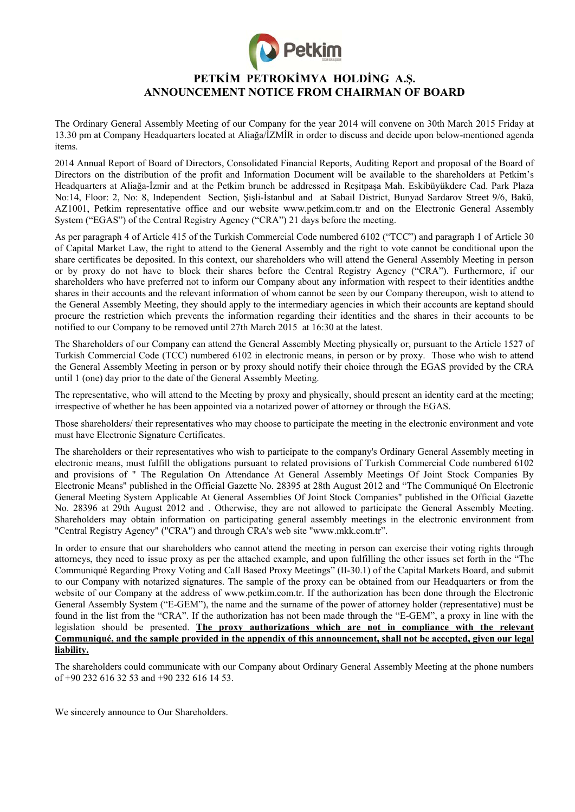

# **PETKİM PETROKİMYA HOLDİNG A.Ş. ANNOUNCEMENT NOTICE FROM CHAIRMAN OF BOARD**

The Ordinary General Assembly Meeting of our Company for the year 2014 will convene on 30th March 2015 Friday at 13.30 pm at Company Headquarters located at Aliağa/İZMİR in order to discuss and decide upon below-mentioned agenda items.

2014 Annual Report of Board of Directors, Consolidated Financial Reports, Auditing Report and proposal of the Board of Directors on the distribution of the profit and Information Document will be available to the shareholders at Petkim's Headquarters at Aliağa-İzmir and at the Petkim brunch be addressed in Reşitpaşa Mah. Eskibüyükdere Cad. Park Plaza No:14, Floor: 2, No: 8, Independent Section, Şişli-İstanbul and at Sabail District, Bunyad Sardarov Street 9/6, Bakü, AZ1001, Petkim representative office and our website www.petkim.com.tr and on the Electronic General Assembly System ("EGAS") of the Central Registry Agency ("CRA") 21 days before the meeting.

As per paragraph 4 of Article 415 of the Turkish Commercial Code numbered 6102 ("TCC") and paragraph 1 of Article 30 of Capital Market Law, the right to attend to the General Assembly and the right to vote cannot be conditional upon the share certificates be deposited. In this context, our shareholders who will attend the General Assembly Meeting in person or by proxy do not have to block their shares before the Central Registry Agency ("CRA"). Furthermore, if our shareholders who have preferred not to inform our Company about any information with respect to their identities andthe shares in their accounts and the relevant information of whom cannot be seen by our Company thereupon, wish to attend to the General Assembly Meeting, they should apply to the intermediary agencies in which their accounts are keptand should procure the restriction which prevents the information regarding their identities and the shares in their accounts to be notified to our Company to be removed until 27th March 2015 at 16:30 at the latest.

The Shareholders of our Company can attend the General Assembly Meeting physically or, pursuant to the Article 1527 of Turkish Commercial Code (TCC) numbered 6102 in electronic means, in person or by proxy. Those who wish to attend the General Assembly Meeting in person or by proxy should notify their choice through the EGAS provided by the CRA until 1 (one) day prior to the date of the General Assembly Meeting.

The representative, who will attend to the Meeting by proxy and physically, should present an identity card at the meeting; irrespective of whether he has been appointed via a notarized power of attorney or through the EGAS.

Those shareholders/ their representatives who may choose to participate the meeting in the electronic environment and vote must have Electronic Signature Certificates.

The shareholders or their representatives who wish to participate to the company's Ordinary General Assembly meeting in electronic means, must fulfill the obligations pursuant to related provisions of Turkish Commercial Code numbered 6102 and provisions of " The Regulation On Attendance At General Assembly Meetings Of Joint Stock Companies By Electronic Means" published in the Official Gazette No. 28395 at 28th August 2012 and "The Communiqué On Electronic General Meeting System Applicable At General Assemblies Of Joint Stock Companies" published in the Official Gazette No. 28396 at 29th August 2012 and . Otherwise, they are not allowed to participate the General Assembly Meeting. Shareholders may obtain information on participating general assembly meetings in the electronic environment from "Central Registry Agency" ("CRA") and through CRA's web site "www.mkk.com.tr".

In order to ensure that our shareholders who cannot attend the meeting in person can exercise their voting rights through attorneys, they need to issue proxy as per the attached example, and upon fulfilling the other issues set forth in the "The Communiqué Regarding Proxy Voting and Call Based Proxy Meetings" (II-30.1) of the Capital Markets Board, and submit to our Company with notarized signatures. The sample of the proxy can be obtained from our Headquarters or from the website of our Company at the address of www.petkim.com.tr. If the authorization has been done through the Electronic General Assembly System ("E-GEM"), the name and the surname of the power of attorney holder (representative) must be found in the list from the "CRA". If the authorization has not been made through the "E-GEM", a proxy in line with the legislation should be presented. **The proxy authorizations which are not in compliance with the relevant Communiqué, and the sample provided in the appendix of this announcement, shall not be accepted, given our legal liability.** 

The shareholders could communicate with our Company about Ordinary General Assembly Meeting at the phone numbers of +90 232 616 32 53 and +90 232 616 14 53.

We sincerely announce to Our Shareholders.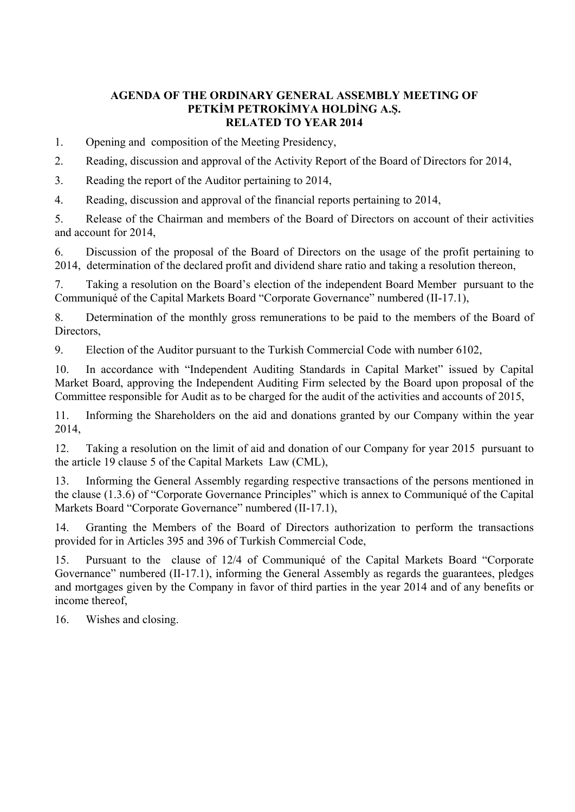# **AGENDA OF THE ORDINARY GENERAL ASSEMBLY MEETING OF PETKİM PETROKİMYA HOLDİNG A.Ş. RELATED TO YEAR 2014**

1. Opening and composition of the Meeting Presidency,

2. Reading, discussion and approval of the Activity Report of the Board of Directors for 2014,

3. Reading the report of the Auditor pertaining to 2014,

4. Reading, discussion and approval of the financial reports pertaining to 2014,

5. Release of the Chairman and members of the Board of Directors on account of their activities and account for 2014,

6. Discussion of the proposal of the Board of Directors on the usage of the profit pertaining to 2014, determination of the declared profit and dividend share ratio and taking a resolution thereon,

7. Taking a resolution on the Board's election of the independent Board Member pursuant to the Communiqué of the Capital Markets Board "Corporate Governance" numbered (II-17.1),

8. Determination of the monthly gross remunerations to be paid to the members of the Board of Directors,

9. Election of the Auditor pursuant to the Turkish Commercial Code with number 6102,

10. In accordance with "Independent Auditing Standards in Capital Market" issued by Capital Market Board, approving the Independent Auditing Firm selected by the Board upon proposal of the Committee responsible for Audit as to be charged for the audit of the activities and accounts of 2015,

11. Informing the Shareholders on the aid and donations granted by our Company within the year 2014,

12. Taking a resolution on the limit of aid and donation of our Company for year 2015 pursuant to the article 19 clause 5 of the Capital Markets Law (CML),

13. Informing the General Assembly regarding respective transactions of the persons mentioned in the clause (1.3.6) of "Corporate Governance Principles" which is annex to Communiqué of the Capital Markets Board "Corporate Governance" numbered (II-17.1),

14. Granting the Members of the Board of Directors authorization to perform the transactions provided for in Articles 395 and 396 of Turkish Commercial Code,

15. Pursuant to the clause of 12/4 of Communiqué of the Capital Markets Board "Corporate Governance" numbered (II-17.1), informing the General Assembly as regards the guarantees, pledges and mortgages given by the Company in favor of third parties in the year 2014 and of any benefits or income thereof,

16. Wishes and closing.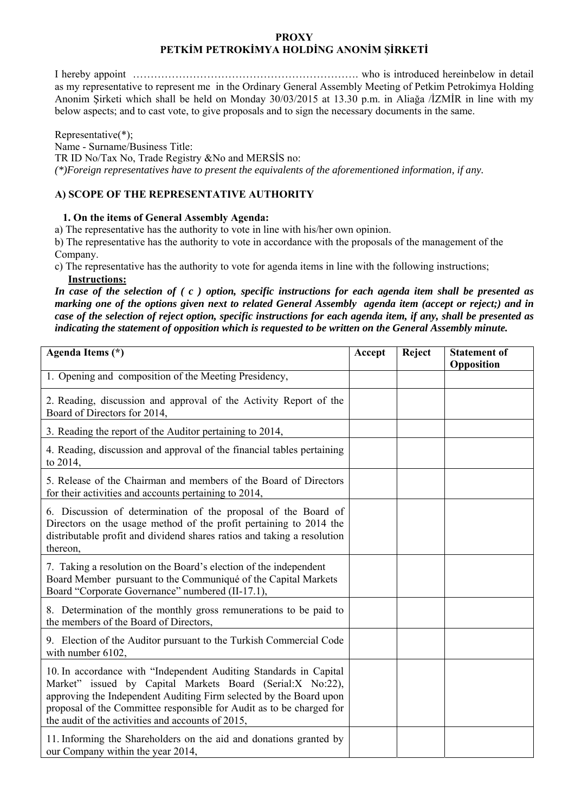### **PROXY PETKİM PETROKİMYA HOLDİNG ANONİM ŞİRKETİ**

I hereby appoint ………………………………………………………. who is introduced hereinbelow in detail as my representative to represent me in the Ordinary General Assembly Meeting of Petkim Petrokimya Holding Anonim Şirketi which shall be held on Monday 30/03/2015 at 13.30 p.m. in Aliağa /İZMİR in line with my below aspects; and to cast vote, to give proposals and to sign the necessary documents in the same.

Representative(\*); Name - Surname/Business Title: TR ID No/Tax No, Trade Registry &No and MERSİS no: *(\*)Foreign representatives have to present the equivalents of the aforementioned information, if any.* 

# **A) SCOPE OF THE REPRESENTATIVE AUTHORITY**

### **1. On the items of General Assembly Agenda:**

a) The representative has the authority to vote in line with his/her own opinion.

b) The representative has the authority to vote in accordance with the proposals of the management of the Company.

c) The representative has the authority to vote for agenda items in line with the following instructions;  **Instructions:** 

*In case of the selection of ( c ) option, specific instructions for each agenda item shall be presented as marking one of the options given next to related General Assembly agenda item (accept or reject;) and in case of the selection of reject option, specific instructions for each agenda item, if any, shall be presented as indicating the statement of opposition which is requested to be written on the General Assembly minute.* 

| Agenda Items (*)                                                                                                                                                                                                                                                                                                                  | Accept | Reject | <b>Statement of</b><br>Opposition |
|-----------------------------------------------------------------------------------------------------------------------------------------------------------------------------------------------------------------------------------------------------------------------------------------------------------------------------------|--------|--------|-----------------------------------|
| 1. Opening and composition of the Meeting Presidency,                                                                                                                                                                                                                                                                             |        |        |                                   |
| 2. Reading, discussion and approval of the Activity Report of the<br>Board of Directors for 2014,                                                                                                                                                                                                                                 |        |        |                                   |
| 3. Reading the report of the Auditor pertaining to 2014,                                                                                                                                                                                                                                                                          |        |        |                                   |
| 4. Reading, discussion and approval of the financial tables pertaining<br>to $2014$ ,                                                                                                                                                                                                                                             |        |        |                                   |
| 5. Release of the Chairman and members of the Board of Directors<br>for their activities and accounts pertaining to 2014,                                                                                                                                                                                                         |        |        |                                   |
| 6. Discussion of determination of the proposal of the Board of<br>Directors on the usage method of the profit pertaining to 2014 the<br>distributable profit and dividend shares ratios and taking a resolution<br>thereon,                                                                                                       |        |        |                                   |
| 7. Taking a resolution on the Board's election of the independent<br>Board Member pursuant to the Communiqué of the Capital Markets<br>Board "Corporate Governance" numbered (II-17.1),                                                                                                                                           |        |        |                                   |
| 8. Determination of the monthly gross remunerations to be paid to<br>the members of the Board of Directors,                                                                                                                                                                                                                       |        |        |                                   |
| 9. Election of the Auditor pursuant to the Turkish Commercial Code<br>with number 6102,                                                                                                                                                                                                                                           |        |        |                                   |
| 10. In accordance with "Independent Auditing Standards in Capital<br>Market" issued by Capital Markets Board (Serial:X No:22),<br>approving the Independent Auditing Firm selected by the Board upon<br>proposal of the Committee responsible for Audit as to be charged for<br>the audit of the activities and accounts of 2015, |        |        |                                   |
| 11. Informing the Shareholders on the aid and donations granted by<br>our Company within the year 2014,                                                                                                                                                                                                                           |        |        |                                   |